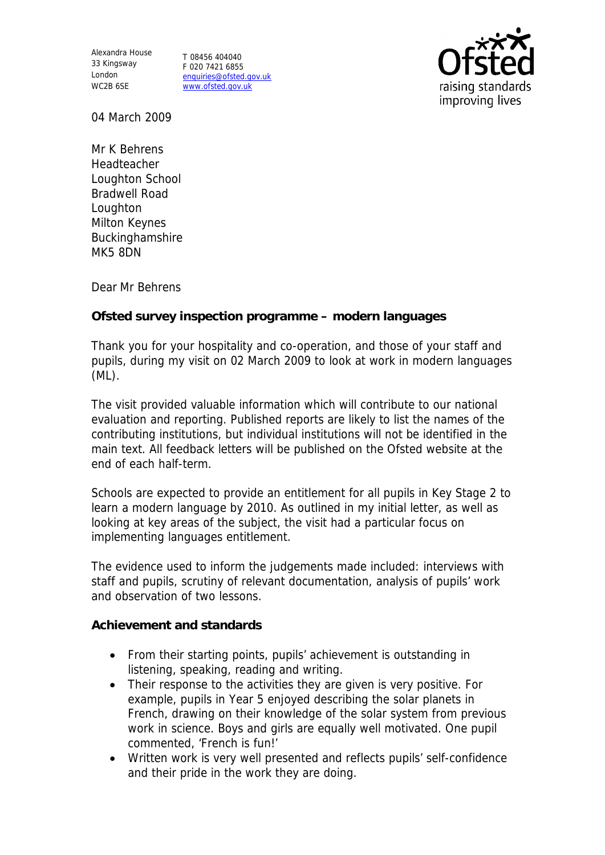Alexandra House 33 Kingsway T 08456 404040 London WC2B 6SE

F 020 7421 6855 enquiries@ofsted.gov.uk www.ofsted.gov.uk



04 March 2009

Mr K Behrens Headteacher Loughton School Bradwell Road Loughton Milton Keynes Buckinghamshire MK5 8DN

Dear Mr Behrens

**Ofsted survey inspection programme – modern languages**

Thank you for your hospitality and co-operation, and those of your staff and pupils, during my visit on 02 March 2009 to look at work in modern languages (ML).

The visit provided valuable information which will contribute to our national evaluation and reporting. Published reports are likely to list the names of the contributing institutions, but individual institutions will not be identified in the main text. All feedback letters will be published on the Ofsted website at the end of each half-term.

Schools are expected to provide an entitlement for all pupils in Key Stage 2 to learn a modern language by 2010. As outlined in my initial letter, as well as looking at key areas of the subject, the visit had a particular focus on implementing languages entitlement.

The evidence used to inform the judgements made included: interviews with staff and pupils, scrutiny of relevant documentation, analysis of pupils' work and observation of two lessons.

**Achievement and standards**

- From their starting points, pupils' achievement is outstanding in listening, speaking, reading and writing.
- Their response to the activities they are given is very positive. For example, pupils in Year 5 enjoyed describing the solar planets in French, drawing on their knowledge of the solar system from previous work in science. Boys and girls are equally well motivated. One pupil commented, 'French is fun!'
- Written work is very well presented and reflects pupils' self-confidence and their pride in the work they are doing.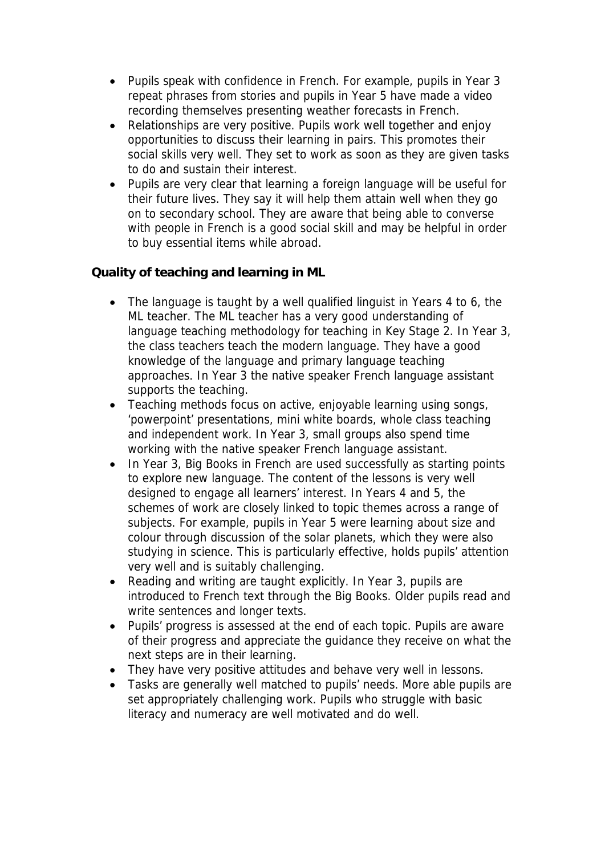- Pupils speak with confidence in French. For example, pupils in Year 3 repeat phrases from stories and pupils in Year 5 have made a video recording themselves presenting weather forecasts in French.
- Relationships are very positive. Pupils work well together and enjoy opportunities to discuss their learning in pairs. This promotes their social skills very well. They set to work as soon as they are given tasks to do and sustain their interest.
- Pupils are very clear that learning a foreign language will be useful for their future lives. They say it will help them attain well when they go on to secondary school. They are aware that being able to converse with people in French is a good social skill and may be helpful in order to buy essential items while abroad.

**Quality of teaching and learning in ML**

- The language is taught by a well qualified linguist in Years 4 to 6, the ML teacher. The ML teacher has a very good understanding of language teaching methodology for teaching in Key Stage 2. In Year 3, the class teachers teach the modern language. They have a good knowledge of the language and primary language teaching approaches. In Year 3 the native speaker French language assistant supports the teaching.
- Teaching methods focus on active, enjoyable learning using songs, 'powerpoint' presentations, mini white boards, whole class teaching and independent work. In Year 3, small groups also spend time working with the native speaker French language assistant.
- In Year 3, Big Books in French are used successfully as starting points to explore new language. The content of the lessons is very well designed to engage all learners' interest. In Years 4 and 5, the schemes of work are closely linked to topic themes across a range of subjects. For example, pupils in Year 5 were learning about size and colour through discussion of the solar planets, which they were also studying in science. This is particularly effective, holds pupils' attention very well and is suitably challenging.
- Reading and writing are taught explicitly. In Year 3, pupils are introduced to French text through the Big Books. Older pupils read and write sentences and longer texts.
- Pupils' progress is assessed at the end of each topic. Pupils are aware of their progress and appreciate the guidance they receive on what the next steps are in their learning.
- They have very positive attitudes and behave very well in lessons.
- Tasks are generally well matched to pupils' needs. More able pupils are set appropriately challenging work. Pupils who struggle with basic literacy and numeracy are well motivated and do well.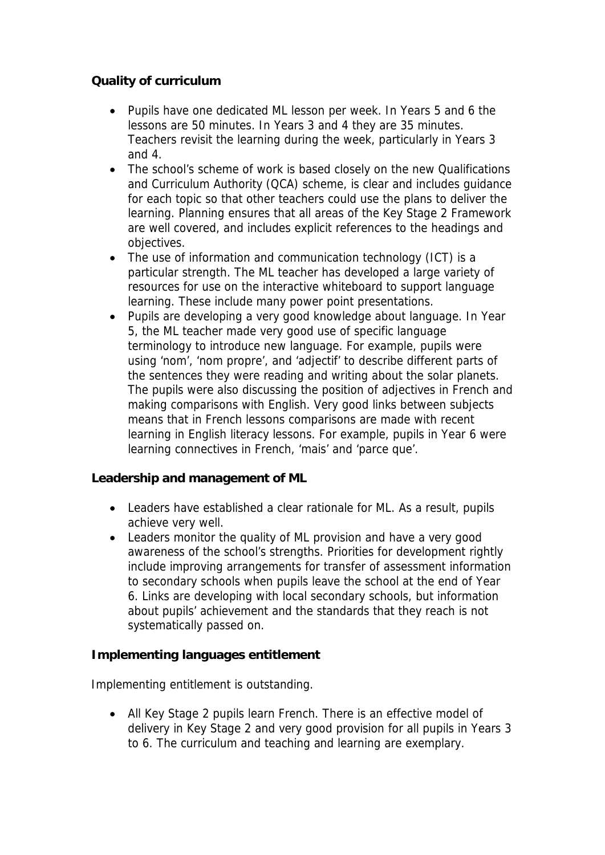## **Quality of curriculum**

- Pupils have one dedicated ML lesson per week. In Years 5 and 6 the lessons are 50 minutes. In Years 3 and 4 they are 35 minutes. Teachers revisit the learning during the week, particularly in Years 3 and 4.
- The school's scheme of work is based closely on the new Qualifications and Curriculum Authority (QCA) scheme, is clear and includes guidance for each topic so that other teachers could use the plans to deliver the learning. Planning ensures that all areas of the Key Stage 2 Framework are well covered, and includes explicit references to the headings and objectives.
- The use of information and communication technology (ICT) is a particular strength. The ML teacher has developed a large variety of resources for use on the interactive whiteboard to support language learning. These include many power point presentations.
- Pupils are developing a very good knowledge about language. In Year 5, the ML teacher made very good use of specific language terminology to introduce new language. For example, pupils were using 'nom', 'nom propre', and 'adjectif' to describe different parts of the sentences they were reading and writing about the solar planets. The pupils were also discussing the position of adjectives in French and making comparisons with English. Very good links between subjects means that in French lessons comparisons are made with recent learning in English literacy lessons. For example, pupils in Year 6 were learning connectives in French, 'mais' and 'parce que'.

**Leadership and management of ML**

- Leaders have established a clear rationale for ML. As a result, pupils achieve very well.
- Leaders monitor the quality of ML provision and have a very good awareness of the school's strengths. Priorities for development rightly include improving arrangements for transfer of assessment information to secondary schools when pupils leave the school at the end of Year 6. Links are developing with local secondary schools, but information about pupils' achievement and the standards that they reach is not systematically passed on.

**Implementing languages entitlement**

Implementing entitlement is outstanding.

• All Key Stage 2 pupils learn French. There is an effective model of delivery in Key Stage 2 and very good provision for all pupils in Years 3 to 6. The curriculum and teaching and learning are exemplary.